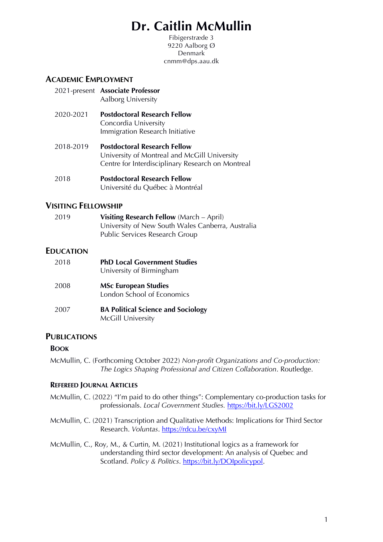# **Dr. Caitlin McMullin**

Fibigerstræde 3 9220 Aalborg Ø **Denmark** cnmm@dps.aau.dk

# **ACADEMIC EMPLOYMENT**

- 2021-present **Associate Professor** Aalborg University
- 2020-2021 **Postdoctoral Research Fellow** Concordia University Immigration Research Initiative
- 2018-2019 **Postdoctoral Research Fellow** University of Montreal and McGill University Centre for Interdisciplinary Research on Montreal
- 2018 **Postdoctoral Research Fellow** Université du Québec à Montréal

## **VISITING FELLOWSHIP**

| 2019 | <b>Visiting Research Fellow</b> (March – April)   |
|------|---------------------------------------------------|
|      | University of New South Wales Canberra, Australia |
|      | Public Services Research Group                    |

## **EDUCATION**

| 2018 | <b>PhD Local Government Studies</b><br>University of Birmingham |  |
|------|-----------------------------------------------------------------|--|
| 2008 | <b>MSc European Studies</b><br>London School of Economics       |  |
| 2007 | <b>BA Political Science and Sociology</b><br>McGill University  |  |

## **PUBLICATIONS**

## **BOOK**

McMullin, C. (Forthcoming October 2022) *Non-profit Organizations and Co-production: The Logics Shaping Professional and Citizen Collaboration*. Routledge.

#### **REFEREED JOURNAL ARTICLES**

- McMullin, C. (2022) "I'm paid to do other things": Complementary co-production tasks for professionals. *Local Government Studies.* https://bit.ly/LGS2002
- McMullin, C. (2021) Transcription and Qualitative Methods: Implications for Third Sector Research. *Voluntas*. https://rdcu.be/cxyMI

McMullin, C., Roy, M., & Curtin, M. (2021) Institutional logics as a framework for understanding third sector development: An analysis of Quebec and Scotland. *Policy & Politics*. https://bit.ly/DOIpolicypol.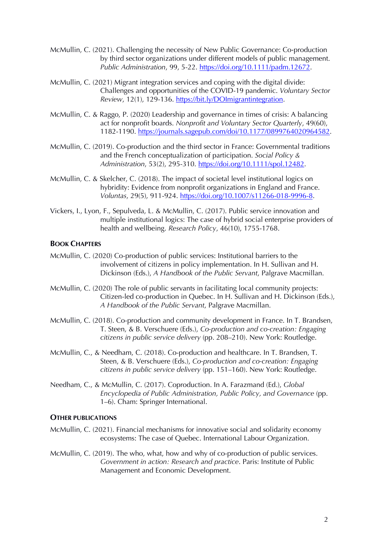- McMullin, C. (2021). Challenging the necessity of New Public Governance: Co-production by third sector organizations under different models of public management. *Public Administration*, 99, 5-22. https://doi.org/10.1111/padm.12672.
- McMullin, C. (2021) Migrant integration services and coping with the digital divide: Challenges and opportunities of the COVID-19 pandemic. *Voluntary Sector Review*, 12(1), 129-136. https://bit.ly/DOImigrantintegration.
- McMullin, C. & Raggo, P. (2020) Leadership and governance in times of crisis: A balancing act for nonprofit boards. *Nonprofit and Voluntary Sector Quarterly*, 49(60), 1182-1190. https://journals.sagepub.com/doi/10.1177/0899764020964582.
- McMullin, C. (2019). Co-production and the third sector in France: Governmental traditions and the French conceptualization of participation. *Social Policy & Administration*, 53(2), 295-310. https://doi.org/10.1111/spol.12482.
- McMullin, C. & Skelcher, C. (2018). The impact of societal level institutional logics on hybridity: Evidence from nonprofit organizations in England and France. *Voluntas*, 29(5), 911-924. https://doi.org/10.1007/s11266-018-9996-8.
- Vickers, I., Lyon, F., Sepulveda, L. & McMullin, C. (2017). Public service innovation and multiple institutional logics: The case of hybrid social enterprise providers of health and wellbeing. *Research Policy*, 46(10), 1755-1768.

## **BOOK CHAPTERS**

- McMullin, C. (2020) Co-production of public services: Institutional barriers to the involvement of citizens in policy implementation. In H. Sullivan and H. Dickinson (Eds.), *A Handbook of the Public Servant*, Palgrave Macmillan.
- McMullin, C. (2020) The role of public servants in facilitating local community projects: Citizen-led co-production in Quebec. In H. Sullivan and H. Dickinson (Eds.), *A Handbook of the Public Servant*, Palgrave Macmillan.
- McMullin, C. (2018). Co-production and community development in France. In T. Brandsen, T. Steen, & B. Verschuere (Eds.), *Co-production and co-creation: Engaging citizens in public service delivery* (pp. 208–210). New York: Routledge.
- McMullin, C., & Needham, C. (2018). Co-production and healthcare. In T. Brandsen, T. Steen, & B. Verschuere (Eds.), *Co-production and co-creation: Engaging citizens in public service delivery* (pp. 151–160). New York: Routledge.
- Needham, C., & McMullin, C. (2017). Coproduction. In A. Farazmand (Ed.), *Global Encyclopedia of Public Administration, Public Policy, and Governance* (pp. 1–6). Cham: Springer International.

## **OTHER PUBLICATIONS**

- McMullin, C. (2021). Financial mechanisms for innovative social and solidarity economy ecosystems: The case of Quebec. International Labour Organization.
- McMullin, C. (2019). The who, what, how and why of co-production of public services. *Government in action: Research and practice*. Paris: Institute of Public Management and Economic Development.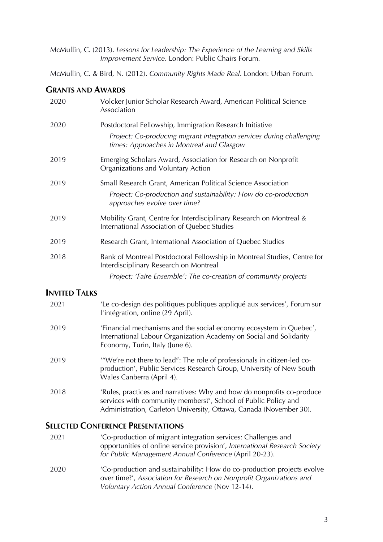McMullin, C. (2013). *Lessons for Leadership: The Experience of the Learning and Skills Improvement Service*. London: Public Chairs Forum.

McMullin, C. & Bird, N. (2012). *Community Rights Made Real*. London: Urban Forum.

## **GRANTS AND AWARDS**

| 2020 | Volcker Junior Scholar Research Award, American Political Science<br>Association                                                                                               |
|------|--------------------------------------------------------------------------------------------------------------------------------------------------------------------------------|
| 2020 | Postdoctoral Fellowship, Immigration Research Initiative<br>Project: Co-producing migrant integration services during challenging<br>times: Approaches in Montreal and Glasgow |
| 2019 | Emerging Scholars Award, Association for Research on Nonprofit<br>Organizations and Voluntary Action                                                                           |
| 2019 | Small Research Grant, American Political Science Association<br>Project: Co-production and sustainability: How do co-production<br>approaches evolve over time?                |
| 2019 | Mobility Grant, Centre for Interdisciplinary Research on Montreal &<br>International Association of Quebec Studies                                                             |
| 2019 | Research Grant, International Association of Quebec Studies                                                                                                                    |
| 2018 | Bank of Montreal Postdoctoral Fellowship in Montreal Studies, Centre for<br>Interdisciplinary Research on Montreal                                                             |
|      | Project: 'Faire Ensemble': The co-creation of community projects                                                                                                               |

# **INVITED TALKS**

| 2021 | 'Le co-design des politiques publiques appliqué aux services', Forum sur<br>l'intégration, online (29 April).                                                                                                  |
|------|----------------------------------------------------------------------------------------------------------------------------------------------------------------------------------------------------------------|
| 2019 | 'Financial mechanisms and the social economy ecosystem in Quebec',<br>International Labour Organization Academy on Social and Solidarity<br>Economy, Turin, Italy (June 6).                                    |
| 2019 | "We're not there to lead": The role of professionals in citizen-led co-<br>production', Public Services Research Group, University of New South<br>Wales Canberra (April 4).                                   |
| 2018 | 'Rules, practices and narratives: Why and how do nonprofits co-produce<br>services with community members?', School of Public Policy and<br>Administration, Carleton University, Ottawa, Canada (November 30). |

## **SELECTED CONFERENCE PRESENTATIONS**

- 2021 'Co-production of migrant integration services: Challenges and opportunities of online service provision', *International Research Society for Public Management Annual Conference* (April 20-23).
- 2020 'Co-production and sustainability: How do co-production projects evolve over time?', *Association for Research on Nonprofit Organizations and Voluntary Action Annual Conference* (Nov 12-14).